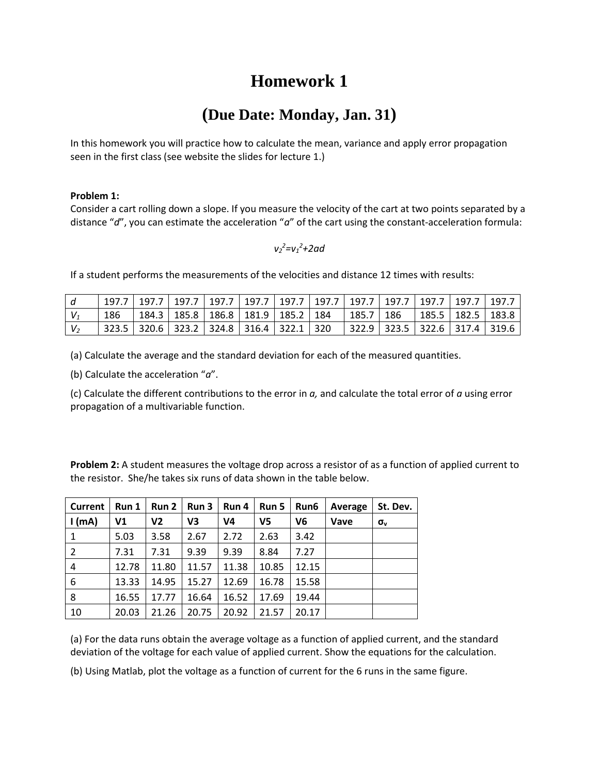## **Homework 1**

## **(Due Date: Monday, Jan. 31)**

In this homework you will practice how to calculate the mean, variance and apply error propagation seen in the first class (see website the slides for lecture 1.)

## **Problem 1:**

Consider a cart rolling down a slope. If you measure the velocity of the cart at two points separated by a distance "*d*", you can estimate the acceleration "*a*" of the cart using the constant-acceleration formula:

*v2 <sup>2</sup>=v<sup>1</sup> <sup>2</sup>+2ad*

If a student performs the measurements of the velocities and distance 12 times with results:

|     |  |  |                                             |  |  | 197.7   197.7   197.7   197.7   197.7   197.7   197.7   197.7   197.7   197.7   197.7   197.7 |  |
|-----|--|--|---------------------------------------------|--|--|-----------------------------------------------------------------------------------------------|--|
| 186 |  |  | 184.3   185.8   186.8   181.9   185.2   184 |  |  | 185.7   186   185.5   182.5   183.8                                                           |  |
|     |  |  | 323.5 320.6 323.2 324.8 316.4 322.1 320     |  |  | 322.9   323.5   322.6   317.4   319.6                                                         |  |

(a) Calculate the average and the standard deviation for each of the measured quantities.

(b) Calculate the acceleration "*a*".

(c) Calculate the different contributions to the error in *a,* and calculate the total error of *a* using error propagation of a multivariable function.

**Problem 2:** A student measures the voltage drop across a resistor of as a function of applied current to the resistor. She/he takes six runs of data shown in the table below.

| <b>Current</b> | Run 1 | Run 2 | Run 3 | Run 4          | Run 5          | Run6           | Average | St. Dev.     |
|----------------|-------|-------|-------|----------------|----------------|----------------|---------|--------------|
| $l$ (mA)       | ٧1    | V2    | V3    | V <sub>4</sub> | V <sub>5</sub> | V <sub>6</sub> | Vave    | $\sigma_{v}$ |
| 1              | 5.03  | 3.58  | 2.67  | 2.72           | 2.63           | 3.42           |         |              |
| 2              | 7.31  | 7.31  | 9.39  | 9.39           | 8.84           | 7.27           |         |              |
| 4              | 12.78 | 11.80 | 11.57 | 11.38          | 10.85          | 12.15          |         |              |
| 6              | 13.33 | 14.95 | 15.27 | 12.69          | 16.78          | 15.58          |         |              |
| 8              | 16.55 | 17.77 | 16.64 | 16.52          | 17.69          | 19.44          |         |              |
| 10             | 20.03 | 21.26 | 20.75 | 20.92          | 21.57          | 20.17          |         |              |

(a) For the data runs obtain the average voltage as a function of applied current, and the standard deviation of the voltage for each value of applied current. Show the equations for the calculation.

(b) Using Matlab, plot the voltage as a function of current for the 6 runs in the same figure.